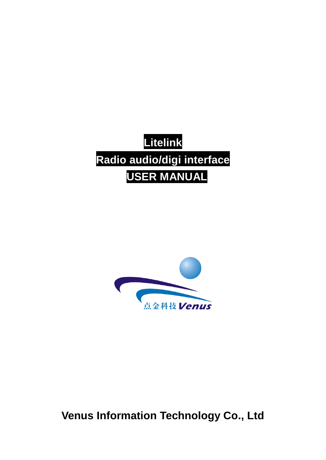# **Litelink Radio audio/digi interface UUSER MANUAL**



**Venus Information Technology Co., Ltd**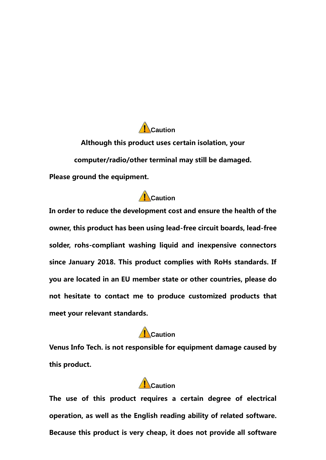Although this product uses certain isolation, your computer/radio/other terminal may still be damaged. Please ground the equipment.

**Caution**

#### **Caution**

In order to reduce the development cost and ensure the health of the owner, this product has been using lead-free circuit boards, lead-free solder, rohs-compliant washing liquid and inexpensive connectors since January 2018. This product complies with RoHs standards. If you are located in an EU member state or other countries, please do not hesitate to contact me to produce customized products that meet your relevant standards.

#### **Caution**

Venus Info Tech. is not responsible for equipment damage caused by this product.

## **Caution**

The use of this product requires a certain degree of electrical operation, as well as the English reading ability of related software. Because this product is very cheap, it does not provide all software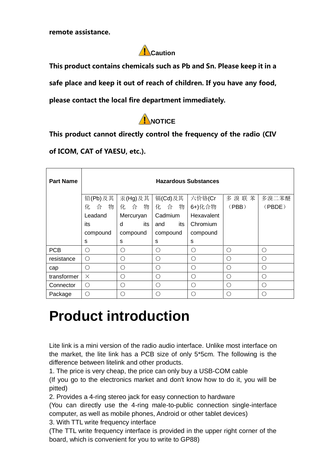remote assistance.



This product contains chemicals such as Pb and Sn. Please keep it in a

safe place and keep it out of reach of children. If you have any food,

please contact the local fire department immediately.



This product cannot directly control the frequency of the radio (CIV

of ICOM, CAT of YAESU, etc.).

| <b>Part Name</b> | <b>Hazardous Substances</b> |            |            |            |           |            |  |  |
|------------------|-----------------------------|------------|------------|------------|-----------|------------|--|--|
|                  | 铅(Pb)及其                     | 汞(Hg)及其    | 镉(Cd)及其    | 六价铬(Cr     | 多溴联苯      | 多溴二苯醚      |  |  |
|                  | 合 物<br>化                    | 化合物        | 化合物        | 6+)化合物     | (PBB)     | (PBDE)     |  |  |
|                  | Leadand                     | Mercuryan  | Cadmium    | Hexavalent |           |            |  |  |
|                  | its                         | d<br>its   | its<br>and | Chromium   |           |            |  |  |
|                  | compound                    | compound   | compound   | compound   |           |            |  |  |
|                  | s                           | s          | S          | s          |           |            |  |  |
| <b>PCB</b>       | $\bigcirc$                  | ∩          | $\bigcap$  | $\bigcirc$ | ∩         | ◯          |  |  |
| resistance       | $\bigcirc$                  | ∩          | $\bigcirc$ | $\bigcirc$ | ∩         | ◯          |  |  |
| cap              | ∩                           | ∩          | ∩          | ∩          | ∩         | ∩          |  |  |
| transformer      | $\times$                    | $\bigcirc$ | $\bigcirc$ | $\bigcirc$ | ∩         | $\bigcirc$ |  |  |
| Connector        | O                           | ∩          | ∩          | ∩          | ∩         | ∩          |  |  |
| Package          | O                           | ∩          | ◯          | ∩          | $\bigcap$ | ∩          |  |  |

# **Product introduction**

Lite link is a mini version of the radio audio interface. Unlike most interface on the market, the lite link has a PCB size of only 5\*5cm. The following is the difference between litelink and other products.

1. The price is very cheap, the price can only buy a USB-COM cable (If you go to the electronics market and don't know how to do it, you will be pitted)

2. Provides a 4-ring stereo jack for easy connection to hardware

(You can directly use the 4-ring male-to-public connection single-interface computer, as well as mobile phones, Android or other tablet devices)

3. With TTL write frequency interface

(The TTL write frequency interface is provided in the upper right corner of the board, which is convenient for you to write to GP88)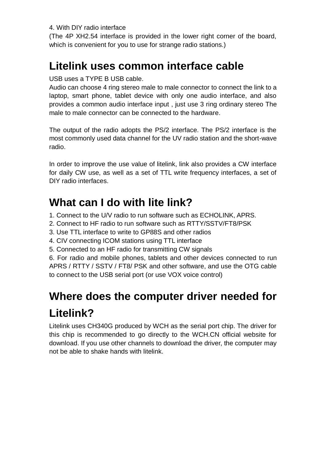4. With DIY radio interface

(The 4P XH2.54 interface is provided in the lower right corner of the board, which is convenient for you to use for strange radio stations.)

## **Litelink uses common interface cable**

USB uses a TYPE B USB cable.

Audio can choose 4 ring stereo male to male connector to connect the link to a laptop, smart phone, tablet device with only one audio interface, and also provides a common audio interface input , just use 3 ring ordinary stereo The male to male connector can be connected to the hardware.

The output of the radio adopts the PS/2 interface. The PS/2 interface is the most commonly used data channel for the UV radio station and the short-wave radio.

In order to improve the use value of litelink, link also provides a CW interface for daily CW use, as well as a set of TTL write frequency interfaces, a set of DIY radio interfaces.

### **What can I do with lite link?**

- 1. Connect to the U/V radio to run software such as ECHOLINK, APRS.
- 2. Connect to HF radio to run software such as RTTY/SSTV/FT8/PSK
- 3. Use TTL interface to write to GP88S and other radios
- 4. CIV connecting ICOM stations using TTL interface
- 5. Connected to an HF radio for transmitting CW signals

6. For radio and mobile phones, tablets and other devices connected to run APRS / RTTY / SSTV / FT8/ PSK and other software, and use the OTG cable to connect to the USB serial port (or use VOX voice control)

# **Where does the computer driver needed for Litelink?**

Litelink uses CH340G produced by WCH as the serial port chip. The driver for this chip is recommended to go directly to the WCH.CN official website for download. If you use other channels to download the driver, the computer may not be able to shake hands with litelink.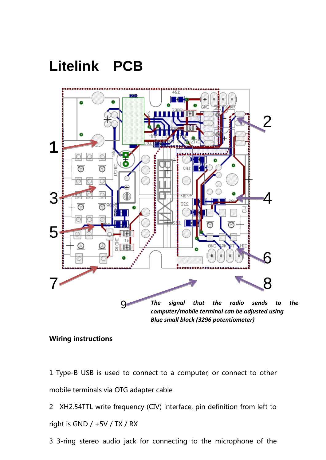# **Litelink PCB**



#### Wiring instructions

1 Type-B USB is used to connect to a computer, or connect to other mobile terminals via OTG adapter cable

2 XH2.54TTL write frequency (CIV) interface, pin definition from left to right is GND / +5V / TX / RX

3 3-ring stereo audio jack for connecting to the microphone of the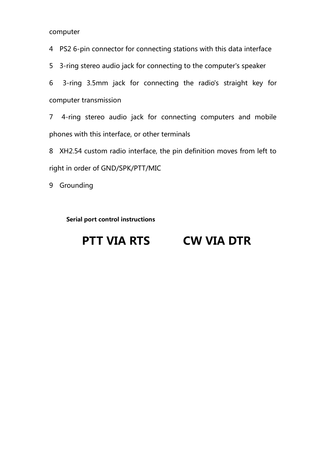computer

4 PS2 6-pin connector for connecting stations with this data interface

5 3-ring stereo audio jack for connecting to the computer's speaker

6 3-ring 3.5mm jack for connecting the radio's straight key for computer transmission

7 4-ring stereo audio jack for connecting computers and mobile phones with this interface, or other terminals

8 XH2.54 custom radio interface, the pin definition moves from left to right in order of GND/SPK/PTT/MIC

9 Grounding

Serial port control instructions

## PTT VIA RTS CW VIA DTR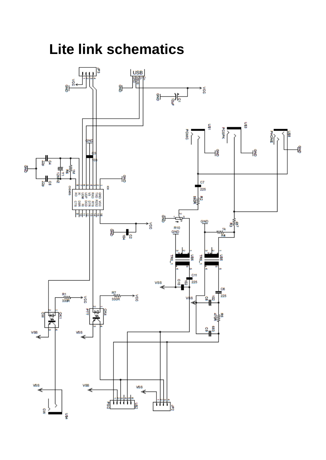**Lite link schematics**

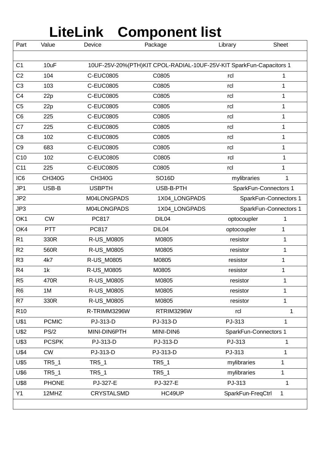# **LiteLink Component list**

| Part            | Value         | Device                                                              | Package       | Library               | <b>Sheet</b>          |  |  |  |
|-----------------|---------------|---------------------------------------------------------------------|---------------|-----------------------|-----------------------|--|--|--|
|                 |               |                                                                     |               |                       |                       |  |  |  |
| C <sub>1</sub>  | 10uF          | 10UF-25V-20%(PTH)KIT CPOL-RADIAL-10UF-25V-KIT SparkFun-Capacitors 1 |               |                       |                       |  |  |  |
| C <sub>2</sub>  | 104           | <b>C-EUC0805</b>                                                    | C0805         | rcl                   | 1                     |  |  |  |
| C <sub>3</sub>  | 103           | <b>C-EUC0805</b>                                                    | C0805         | rcl                   | 1                     |  |  |  |
| C <sub>4</sub>  | 22p           | <b>C-EUC0805</b>                                                    | C0805         | rcl                   | 1                     |  |  |  |
| C <sub>5</sub>  | 22p           | <b>C-EUC0805</b>                                                    | C0805         | rcl                   | 1                     |  |  |  |
| C <sub>6</sub>  | 225           | <b>C-EUC0805</b>                                                    | C0805         | rcl                   | 1                     |  |  |  |
| C7              | 225           | <b>C-EUC0805</b>                                                    | C0805         | rcl                   | 1                     |  |  |  |
| C <sub>8</sub>  | 102           | <b>C-EUC0805</b>                                                    | C0805         | rcl                   | 1                     |  |  |  |
| C <sub>9</sub>  | 683           | <b>C-EUC0805</b>                                                    | C0805         | rcl                   | 1                     |  |  |  |
| C10             | 102           | <b>C-EUC0805</b>                                                    | C0805         | rcl                   | $\mathbf{1}$          |  |  |  |
| C <sub>11</sub> | 225           | <b>C-EUC0805</b>                                                    | C0805         | rcl                   | 1                     |  |  |  |
| IC <sub>6</sub> | <b>CH340G</b> | <b>CH340G</b>                                                       | <b>SO16D</b>  | mylibraries           | 1                     |  |  |  |
| JP1             | USB-B         | <b>USBPTH</b>                                                       | USB-B-PTH     | SparkFun-Connectors 1 |                       |  |  |  |
| JP <sub>2</sub> |               | M04LONGPADS                                                         | 1X04_LONGPADS |                       | SparkFun-Connectors 1 |  |  |  |
| JP3             |               | M04LONGPADS                                                         | 1X04_LONGPADS |                       | SparkFun-Connectors 1 |  |  |  |
| OK1             | <b>CW</b>     | PC817                                                               | DIL04         | optocoupler           | 1                     |  |  |  |
| OK4             | <b>PTT</b>    | PC817                                                               | DIL04         | optocoupler           | 1                     |  |  |  |
| R <sub>1</sub>  | 330R          | R-US_M0805                                                          | M0805         | resistor              | 1                     |  |  |  |
| R <sub>2</sub>  | 560R          | R-US_M0805                                                          | M0805         | resistor              | 1                     |  |  |  |
| R <sub>3</sub>  | 4k7           | R-US_M0805                                                          | M0805         | resistor              | 1                     |  |  |  |
| R <sub>4</sub>  | 1k            | R-US_M0805                                                          | M0805         | resistor              | 1                     |  |  |  |
| R <sub>5</sub>  | 470R          | R-US_M0805                                                          | M0805         | resistor              | 1                     |  |  |  |
| R <sub>6</sub>  | 1M            | R-US_M0805                                                          | M0805         | resistor              | 1                     |  |  |  |
| R7              | 330R          | R-US_M0805                                                          | M0805         | resistor              | $\mathbf 1$           |  |  |  |
| R <sub>10</sub> |               | R-TRIMM3296W                                                        | RTRIM3296W    | rcl                   | 1                     |  |  |  |
| <b>U\$1</b>     | <b>PCMIC</b>  | PJ-313-D                                                            | PJ-313-D      | PJ-313                | 1                     |  |  |  |
| <b>U\$2</b>     | PS/2          | MINI-DIN6PTH                                                        | MINI-DIN6     | SparkFun-Connectors 1 |                       |  |  |  |
| U\$3            | <b>PCSPK</b>  | PJ-313-D                                                            | PJ-313-D      | PJ-313                | 1                     |  |  |  |
| <b>U\$4</b>     | <b>CW</b>     | PJ-313-D                                                            | PJ-313-D      | PJ-313                | 1                     |  |  |  |
| U\$5            | TR5_1         | TR5_1                                                               | TR5_1         | mylibraries           | 1                     |  |  |  |
| U\$6            | TR5_1         | TR5_1                                                               | TR5_1         | mylibraries           | 1                     |  |  |  |
| U\$8            | <b>PHONE</b>  | PJ-327-E                                                            | PJ-327-E      | PJ-313                | $\mathbf{1}$          |  |  |  |
| Y1              | 12MHZ         | <b>CRYSTALSMD</b>                                                   | HC49UP        | SparkFun-FreqCtrl     | 1                     |  |  |  |
|                 |               |                                                                     |               |                       |                       |  |  |  |